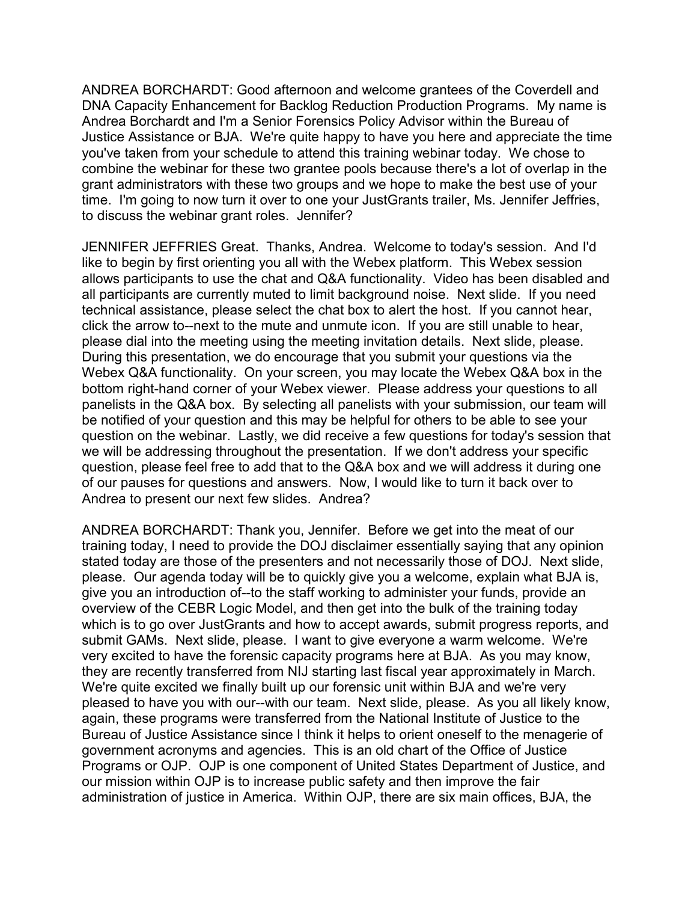Justice Assistance or BJA. We're quite happy to have you here and appreciate the time you've taken from your schedule to attend this training webinar today. We chose to grant administrators with these two groups and we hope to make the best use of your to discuss the webinar grant roles. Jennifer? ANDREA BORCHARDT: Good afternoon and welcome grantees of the Coverdell and DNA Capacity Enhancement for Backlog Reduction Production Programs. My name is Andrea Borchardt and I'm a Senior Forensics Policy Advisor within the Bureau of combine the webinar for these two grantee pools because there's a lot of overlap in the time. I'm going to now turn it over to one your JustGrants trailer, Ms. Jennifer Jeffries,

 JENNIFER JEFFRIES Great. Thanks, Andrea. Welcome to today's session. And I'd like to begin by first orienting you all with the Webex platform. This Webex session please dial into the meeting using the meeting invitation details. Next slide, please. bottom right-hand corner of your Webex viewer. Please address your questions to all question on the webinar. Lastly, we did receive a few questions for today's session that question, please feel free to add that to the Q&A box and we will address it during one Andrea to present our next few slides. Andrea? allows participants to use the chat and Q&A functionality. Video has been disabled and all participants are currently muted to limit background noise. Next slide. If you need technical assistance, please select the chat box to alert the host. If you cannot hear, click the arrow to--next to the mute and unmute icon. If you are still unable to hear, During this presentation, we do encourage that you submit your questions via the Webex Q&A functionality. On your screen, you may locate the Webex Q&A box in the panelists in the Q&A box. By selecting all panelists with your submission, our team will be notified of your question and this may be helpful for others to be able to see your we will be addressing throughout the presentation. If we don't address your specific of our pauses for questions and answers. Now, I would like to turn it back over to

 ANDREA BORCHARDT: Thank you, Jennifer. Before we get into the meat of our please. Our agenda today will be to quickly give you a welcome, explain what BJA is, overview of the CEBR Logic Model, and then get into the bulk of the training today which is to go over JustGrants and how to accept awards, submit progress reports, and very excited to have the forensic capacity programs here at BJA. As you may know, pleased to have you with our--with our team. Next slide, please. As you all likely know, our mission within OJP is to increase public safety and then improve the fair administration of justice in America. Within OJP, there are six main offices, BJA, the training today, I need to provide the DOJ disclaimer essentially saying that any opinion stated today are those of the presenters and not necessarily those of DOJ. Next slide, give you an introduction of--to the staff working to administer your funds, provide an submit GAMs. Next slide, please. I want to give everyone a warm welcome. We're they are recently transferred from NIJ starting last fiscal year approximately in March. We're quite excited we finally built up our forensic unit within BJA and we're very again, these programs were transferred from the National Institute of Justice to the Bureau of Justice Assistance since I think it helps to orient oneself to the menagerie of government acronyms and agencies. This is an old chart of the Office of Justice Programs or OJP. OJP is one component of United States Department of Justice, and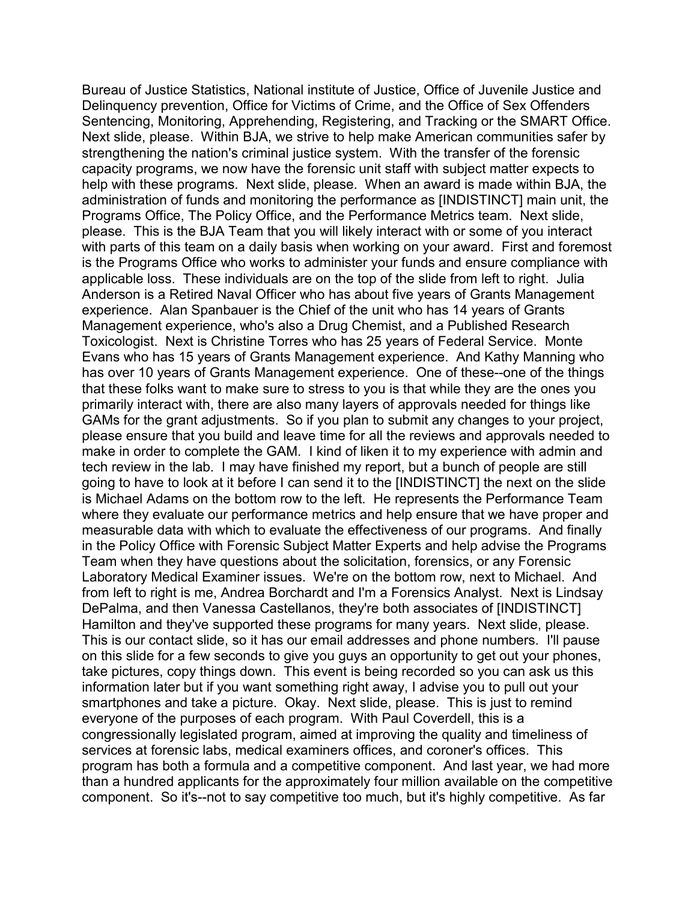Delinquency prevention, Office for Victims of Crime, and the Office of Sex Offenders Next slide, please. Within BJA, we strive to help make American communities safer by help with these programs. Next slide, please. When an award is made within BJA, the Programs Office, The Policy Office, and the Performance Metrics team. Next slide, please. This is the BJA Team that you will likely interact with or some of you interact applicable loss. These individuals are on the top of the slide from left to right. Julia experience. Alan Spanbauer is the Chief of the unit who has 14 years of Grants Management experience, who's also a Drug Chemist, and a Published Research make in order to complete the GAM. I kind of liken it to my experience with admin and where they evaluate our performance metrics and help ensure that we have proper and measurable data with which to evaluate the effectiveness of our programs. And finally Team when they have questions about the solicitation, forensics, or any Forensic Hamilton and they've supported these programs for many years. Next slide, please. This is our contact slide, so it has our email addresses and phone numbers. I'll pause take pictures, copy things down. This event is being recorded so you can ask us this information later but if you want something right away, I advise you to pull out your smartphones and take a picture. Okay. Next slide, please. This is just to remind everyone of the purposes of each program. With Paul Coverdell, this is a services at forensic labs, medical examiners offices, and coroner's offices. This than a hundred applicants for the approximately four million available on the competitive component. So it's--not to say competitive too much, but it's highly competitive. As far Bureau of Justice Statistics, National institute of Justice, Office of Juvenile Justice and Sentencing, Monitoring, Apprehending, Registering, and Tracking or the SMART Office. strengthening the nation's criminal justice system. With the transfer of the forensic capacity programs, we now have the forensic unit staff with subject matter expects to administration of funds and monitoring the performance as [INDISTINCT] main unit, the with parts of this team on a daily basis when working on your award. First and foremost is the Programs Office who works to administer your funds and ensure compliance with Anderson is a Retired Naval Officer who has about five years of Grants Management Toxicologist. Next is Christine Torres who has 25 years of Federal Service. Monte Evans who has 15 years of Grants Management experience. And Kathy Manning who has over 10 years of Grants Management experience. One of these--one of the things that these folks want to make sure to stress to you is that while they are the ones you primarily interact with, there are also many layers of approvals needed for things like GAMs for the grant adjustments. So if you plan to submit any changes to your project, please ensure that you build and leave time for all the reviews and approvals needed to tech review in the lab. I may have finished my report, but a bunch of people are still going to have to look at it before I can send it to the [INDISTINCT] the next on the slide is Michael Adams on the bottom row to the left. He represents the Performance Team in the Policy Office with Forensic Subject Matter Experts and help advise the Programs Laboratory Medical Examiner issues. We're on the bottom row, next to Michael. And from left to right is me, Andrea Borchardt and I'm a Forensics Analyst. Next is Lindsay DePalma, and then Vanessa Castellanos, they're both associates of [INDISTINCT] on this slide for a few seconds to give you guys an opportunity to get out your phones, congressionally legislated program, aimed at improving the quality and timeliness of program has both a formula and a competitive component. And last year, we had more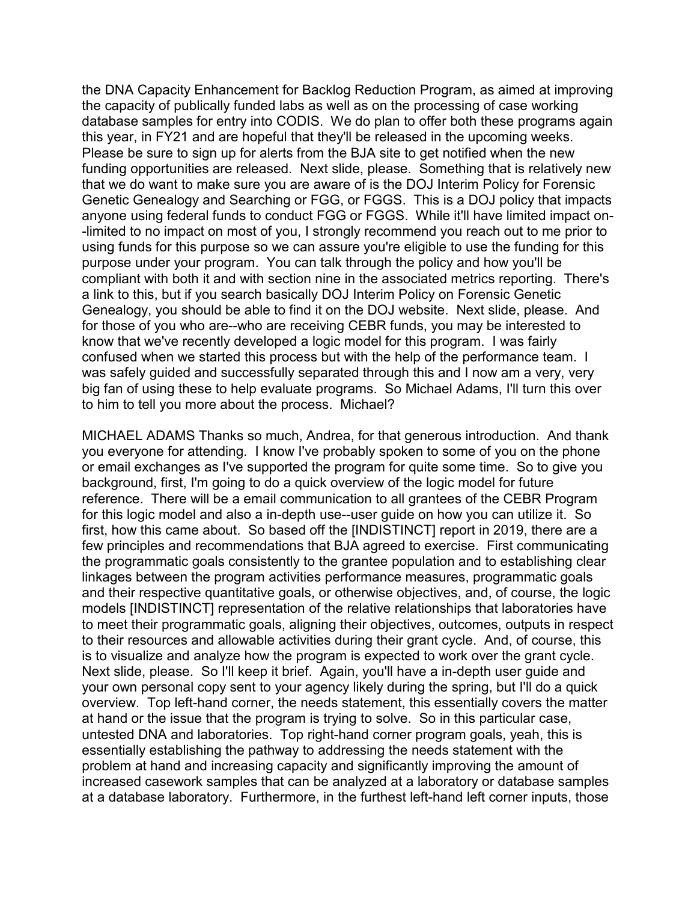database samples for entry into CODIS. We do plan to offer both these programs again this year, in FY21 and are hopeful that they'll be released in the upcoming weeks. this year, in FY21 and are hopeful that they'll be released in the upcoming weeks.<br>Please be sure to sign up for alerts from the BJA site to get notified when the new funding opportunities are released. Next slide, please. Something that is relatively new Genetic Genealogy and Searching or FGG, or FGGS. This is a DOJ policy that impacts anyone using federal funds to conduct FGG or FGGS. While it'll have limited impact on- using funds for this purpose so we can assure you're eligible to use the funding for this compliant with both it and with section nine in the associated metrics reporting. There's Genealogy, you should be able to find it on the DOJ website. Next slide, please. And for those of you who are--who are receiving CEBR funds, you may be interested to know that we've recently developed a logic model for this program. I was fairly big fan of using these to help evaluate programs. So Michael Adams, I'll turn this over to him to tell you more about the process. Michael? the DNA Capacity Enhancement for Backlog Reduction Program, as aimed at improving the capacity of publically funded labs as well as on the processing of case working that we do want to make sure you are aware of is the DOJ Interim Policy for Forensic -limited to no impact on most of you, I strongly recommend you reach out to me prior to purpose under your program. You can talk through the policy and how you'll be a link to this, but if you search basically DOJ Interim Policy on Forensic Genetic confused when we started this process but with the help of the performance team. I was safely guided and successfully separated through this and I now am a very, very

 first, how this came about. So based off the [INDISTINCT] report in 2019, there are a few principles and recommendations that BJA agreed to exercise. First communicating linkages between the program activities performance measures, programmatic goals and their respective quantitative goals, or otherwise objectives, and, of course, the logic is to visualize and analyze how the program is expected to work over the grant cycle. is to visualize and analyze how the program is expected to work over the grant cycle.<br>Next slide, please. So I'll keep it brief. Again, you'll have a in-depth user guide and increased casework samples that can be analyzed at a laboratory or database samples MICHAEL ADAMS Thanks so much, Andrea, for that generous introduction. And thank you everyone for attending. I know I've probably spoken to some of you on the phone or email exchanges as I've supported the program for quite some time. So to give you background, first, I'm going to do a quick overview of the logic model for future reference. There will be a email communication to all grantees of the CEBR Program for this logic model and also a in-depth use--user guide on how you can utilize it. So the programmatic goals consistently to the grantee population and to establishing clear models [INDISTINCT] representation of the relative relationships that laboratories have to meet their programmatic goals, aligning their objectives, outcomes, outputs in respect to their resources and allowable activities during their grant cycle. And, of course, this your own personal copy sent to your agency likely during the spring, but I'll do a quick overview. Top left-hand corner, the needs statement, this essentially covers the matter at hand or the issue that the program is trying to solve. So in this particular case, untested DNA and laboratories. Top right-hand corner program goals, yeah, this is essentially establishing the pathway to addressing the needs statement with the problem at hand and increasing capacity and significantly improving the amount of at a database laboratory. Furthermore, in the furthest left-hand left corner inputs, those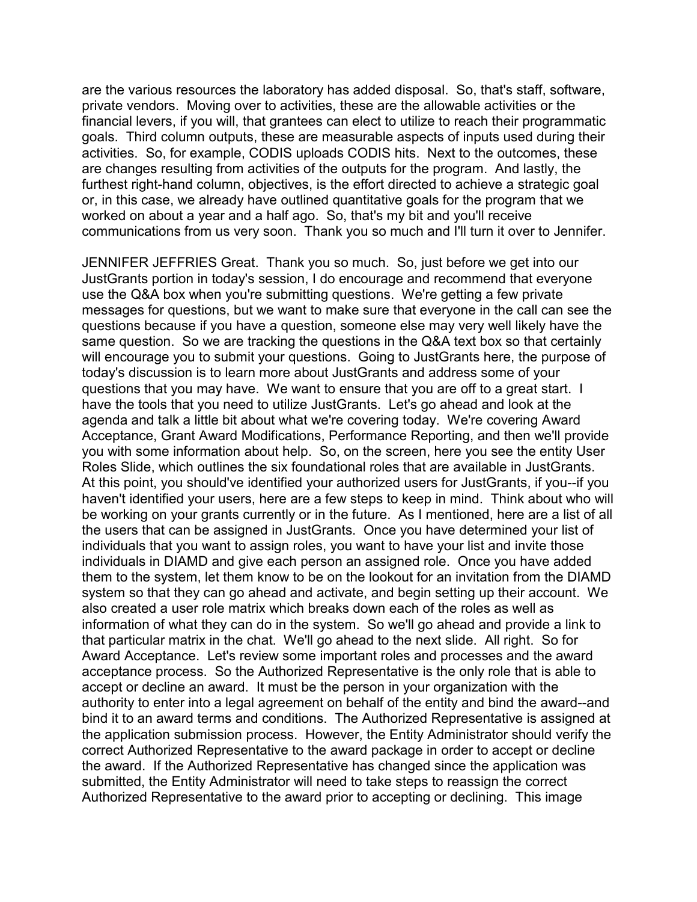are the various resources the laboratory has added disposal. So, that's staff, software, worked on about a year and a half ago. So, that's my bit and you'll receive communications from us very soon. Thank you so much and I'll turn it over to Jennifer. private vendors. Moving over to activities, these are the allowable activities or the financial levers, if you will, that grantees can elect to utilize to reach their programmatic goals. Third column outputs, these are measurable aspects of inputs used during their activities. So, for example, CODIS uploads CODIS hits. Next to the outcomes, these are changes resulting from activities of the outputs for the program. And lastly, the furthest right-hand column, objectives, is the effort directed to achieve a strategic goal or, in this case, we already have outlined quantitative goals for the program that we

 same question. So we are tracking the questions in the Q&A text box so that certainly will encourage you to submit your questions. Going to JustGrants here, the purpose of questions that you may have. We want to ensure that you are off to a great start. I have the tools that you need to utilize JustGrants. Let's go ahead and look at the agenda and talk a little bit about what we're covering today. We're covering Award you with some information about help. So, on the screen, here you see the entity User Roles Slide, which outlines the six foundational roles that are available in JustGrants. haven't identified your users, here are a few steps to keep in mind. Think about who will be working on your grants currently or in the future. As I mentioned, here are a list of all individuals in DIAMD and give each person an assigned role. Once you have added system so that they can go ahead and activate, and begin setting up their account. We that particular matrix in the chat. We'll go ahead to the next slide. All right. So for acceptance process. So the Authorized Representative is the only role that is able to JENNIFER JEFFRIES Great. Thank you so much. So, just before we get into our JustGrants portion in today's session, I do encourage and recommend that everyone use the Q&A box when you're submitting questions. We're getting a few private messages for questions, but we want to make sure that everyone in the call can see the questions because if you have a question, someone else may very well likely have the today's discussion is to learn more about JustGrants and address some of your Acceptance, Grant Award Modifications, Performance Reporting, and then we'll provide At this point, you should've identified your authorized users for JustGrants, if you--if you the users that can be assigned in JustGrants. Once you have determined your list of individuals that you want to assign roles, you want to have your list and invite those them to the system, let them know to be on the lookout for an invitation from the DIAMD also created a user role matrix which breaks down each of the roles as well as information of what they can do in the system. So we'll go ahead and provide a link to Award Acceptance. Let's review some important roles and processes and the award accept or decline an award. It must be the person in your organization with the authority to enter into a legal agreement on behalf of the entity and bind the award--and bind it to an award terms and conditions. The Authorized Representative is assigned at the application submission process. However, the Entity Administrator should verify the correct Authorized Representative to the award package in order to accept or decline the award. If the Authorized Representative has changed since the application was submitted, the Entity Administrator will need to take steps to reassign the correct Authorized Representative to the award prior to accepting or declining. This image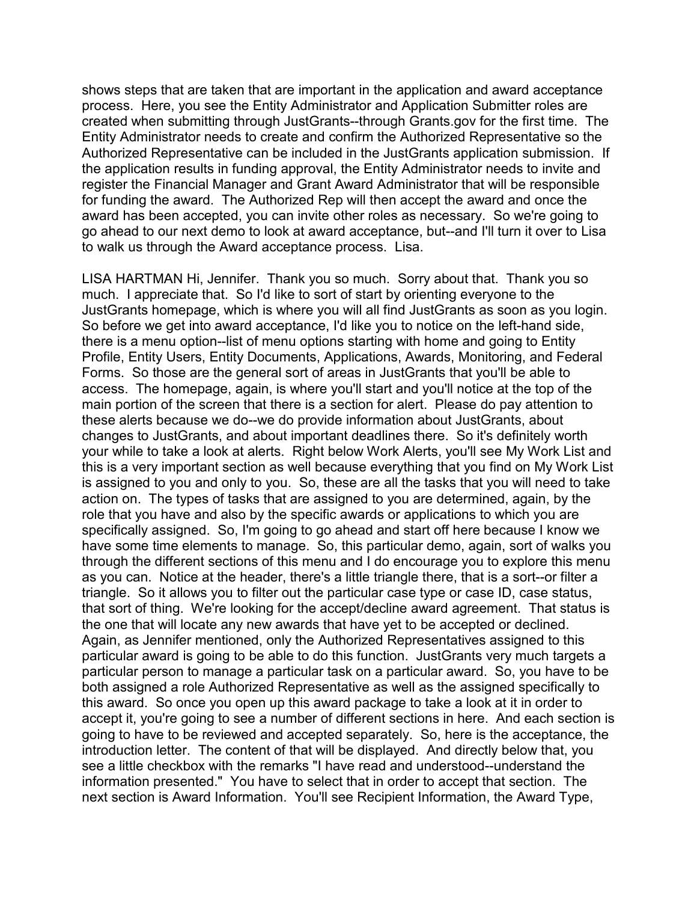process. Here, you see the Entity Administrator and Application Submitter roles are created when submitting through JustGrants--through [Grants.gov](https://Grants.gov) for the first time. The for funding the award. The Authorized Rep will then accept the award and once the go ahead to our next demo to look at award acceptance, but--and I'll turn it over to Lisa shows steps that are taken that are important in the application and award acceptance Entity Administrator needs to create and confirm the Authorized Representative so the Authorized Representative can be included in the JustGrants application submission. If the application results in funding approval, the Entity Administrator needs to invite and register the Financial Manager and Grant Award Administrator that will be responsible award has been accepted, you can invite other roles as necessary. So we're going to to walk us through the Award acceptance process. Lisa.

 LISA HARTMAN Hi, Jennifer. Thank you so much. Sorry about that. Thank you so JustGrants homepage, which is where you will all find JustGrants as soon as you login. Forms. So those are the general sort of areas in JustGrants that you'll be able to main portion of the screen that there is a section for alert. Please do pay attention to these alerts because we do--we do provide information about JustGrants, about your while to take a look at alerts. Right below Work Alerts, you'll see My Work List and this is a very important section as well because everything that you find on My Work List action on. The types of tasks that are assigned to you are determined, again, by the specifically assigned. So, I'm going to go ahead and start off here because I know we that sort of thing. We're looking for the accept/decline award agreement. That status is particular person to manage a particular task on a particular award. So, you have to be information presented." You have to select that in order to accept that section. The much. I appreciate that. So I'd like to sort of start by orienting everyone to the So before we get into award acceptance, I'd like you to notice on the left-hand side, there is a menu option--list of menu options starting with home and going to Entity Profile, Entity Users, Entity Documents, Applications, Awards, Monitoring, and Federal access. The homepage, again, is where you'll start and you'll notice at the top of the changes to JustGrants, and about important deadlines there. So it's definitely worth is assigned to you and only to you. So, these are all the tasks that you will need to take role that you have and also by the specific awards or applications to which you are have some time elements to manage. So, this particular demo, again, sort of walks you through the different sections of this menu and I do encourage you to explore this menu as you can. Notice at the header, there's a little triangle there, that is a sort--or filter a triangle. So it allows you to filter out the particular case type or case ID, case status, the one that will locate any new awards that have yet to be accepted or declined. Again, as Jennifer mentioned, only the Authorized Representatives assigned to this particular award is going to be able to do this function. JustGrants very much targets a both assigned a role Authorized Representative as well as the assigned specifically to this award. So once you open up this award package to take a look at it in order to accept it, you're going to see a number of different sections in here. And each section is going to have to be reviewed and accepted separately. So, here is the acceptance, the introduction letter. The content of that will be displayed. And directly below that, you see a little checkbox with the remarks "I have read and understood--understand the next section is Award Information. You'll see Recipient Information, the Award Type,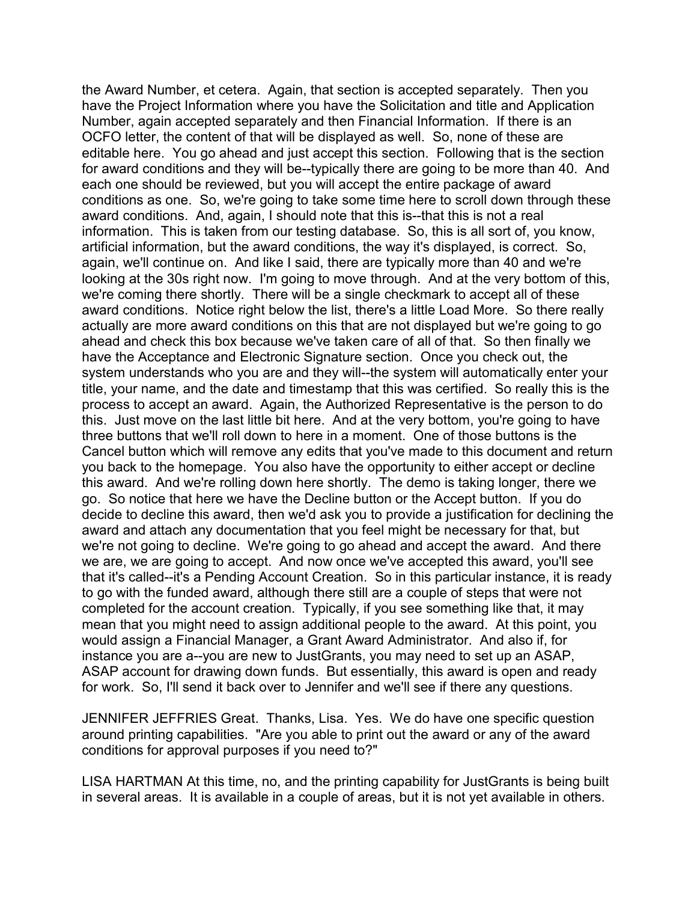the Award Number, et cetera. Again, that section is accepted separately. Then you for award conditions and they will be--typically there are going to be more than 40. And conditions as one. So, we're going to take some time here to scroll down through these information. This is taken from our testing database. So, this is all sort of, you know, again, we'll continue on. And like I said, there are typically more than 40 and we're ahead and check this box because we've taken care of all of that. So then finally we have the Acceptance and Electronic Signature section. Once you check out, the title, your name, and the date and timestamp that this was certified. So really this is the this. Just move on the last little bit here. And at the very bottom, you're going to have three buttons that we'll roll down to here in a moment. One of those buttons is the go. So notice that here we have the Decline button or the Accept button. If you do award and attach any documentation that you feel might be necessary for that, but we're not going to decline. We're going to go ahead and accept the award. And there completed for the account creation. Typically, if you see something like that, it may would assign a Financial Manager, a Grant Award Administrator. And also if, for ASAP account for drawing down funds. But essentially, this award is open and ready have the Project Information where you have the Solicitation and title and Application Number, again accepted separately and then Financial Information. If there is an OCFO letter, the content of that will be displayed as well. So, none of these are editable here. You go ahead and just accept this section. Following that is the section each one should be reviewed, but you will accept the entire package of award award conditions. And, again, I should note that this is--that this is not a real artificial information, but the award conditions, the way it's displayed, is correct. So, looking at the 30s right now. I'm going to move through. And at the very bottom of this, we're coming there shortly. There will be a single checkmark to accept all of these award conditions. Notice right below the list, there's a little Load More. So there really actually are more award conditions on this that are not displayed but we're going to go system understands who you are and they will--the system will automatically enter your process to accept an award. Again, the Authorized Representative is the person to do Cancel button which will remove any edits that you've made to this document and return you back to the homepage. You also have the opportunity to either accept or decline this award. And we're rolling down here shortly. The demo is taking longer, there we decide to decline this award, then we'd ask you to provide a justification for declining the we are, we are going to accept. And now once we've accepted this award, you'll see that it's called--it's a Pending Account Creation. So in this particular instance, it is ready to go with the funded award, although there still are a couple of steps that were not mean that you might need to assign additional people to the award. At this point, you instance you are a--you are new to JustGrants, you may need to set up an ASAP, for work. So, I'll send it back over to Jennifer and we'll see if there any questions.

 JENNIFER JEFFRIES Great. Thanks, Lisa. Yes. We do have one specific question around printing capabilities. "Are you able to print out the award or any of the award conditions for approval purposes if you need to?"

 in several areas. It is available in a couple of areas, but it is not yet available in others. LISA HARTMAN At this time, no, and the printing capability for JustGrants is being built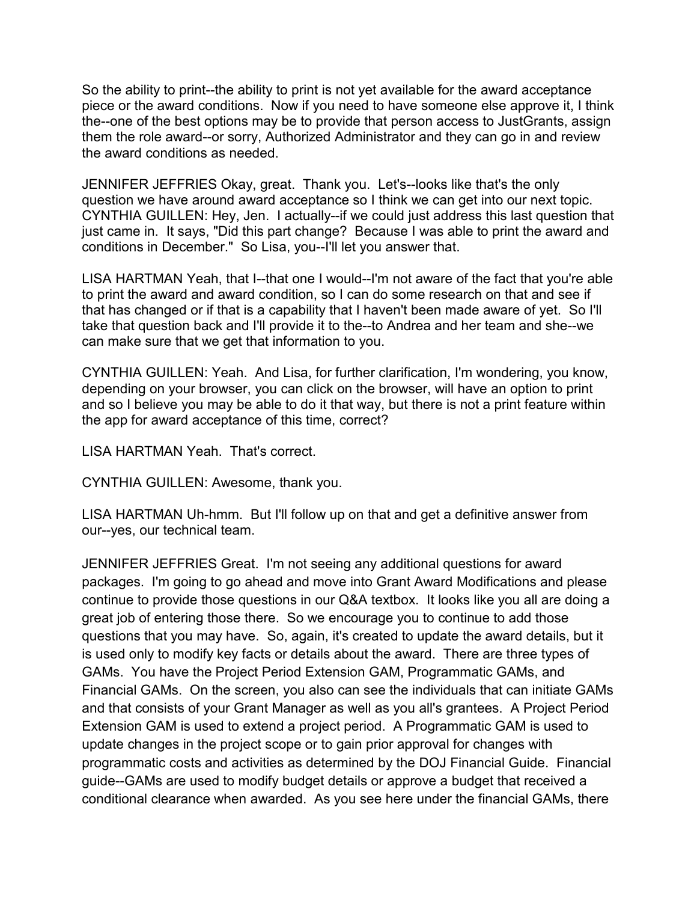piece or the award conditions. Now if you need to have someone else approve it, I think So the ability to print--the ability to print is not yet available for the award acceptance the--one of the best options may be to provide that person access to JustGrants, assign them the role award--or sorry, Authorized Administrator and they can go in and review the award conditions as needed.

 JENNIFER JEFFRIES Okay, great. Thank you. Let's--looks like that's the only question we have around award acceptance so I think we can get into our next topic. question we have around award acceptance so I think we can get into our next topic.<br>CYNTHIA GUILLEN: Hey, Jen. I actually--if we could just address this last question that conditions in December." So Lisa, you--I'll let you answer that. just came in. It says, "Did this part change? Because I was able to print the award and

 that has changed or if that is a capability that I haven't been made aware of yet. So I'll LISA HARTMAN Yeah, that I--that one I would--I'm not aware of the fact that you're able to print the award and award condition, so I can do some research on that and see if take that question back and I'll provide it to the--to Andrea and her team and she--we can make sure that we get that information to you.

 CYNTHIA GUILLEN: Yeah. And Lisa, for further clarification, I'm wondering, you know, and so I believe you may be able to do it that way, but there is not a print feature within depending on your browser, you can click on the browser, will have an option to print the app for award acceptance of this time, correct?

LISA HARTMAN Yeah. That's correct.

CYNTHIA GUILLEN: Awesome, thank you.

LISA HARTMAN Uh-hmm. But I'll follow up on that and get a definitive answer from our--yes, our technical team.

 packages. I'm going to go ahead and move into Grant Award Modifications and please questions that you may have. So, again, it's created to update the award details, but it is used only to modify key facts or details about the award. There are three types of Extension GAM is used to extend a project period. A Programmatic GAM is used to JENNIFER JEFFRIES Great. I'm not seeing any additional questions for award continue to provide those questions in our Q&A textbox. It looks like you all are doing a great job of entering those there. So we encourage you to continue to add those GAMs. You have the Project Period Extension GAM, Programmatic GAMs, and Financial GAMs. On the screen, you also can see the individuals that can initiate GAMs and that consists of your Grant Manager as well as you all's grantees. A Project Period update changes in the project scope or to gain prior approval for changes with programmatic costs and activities as determined by the DOJ Financial Guide. Financial guide--GAMs are used to modify budget details or approve a budget that received a conditional clearance when awarded. As you see here under the financial GAMs, there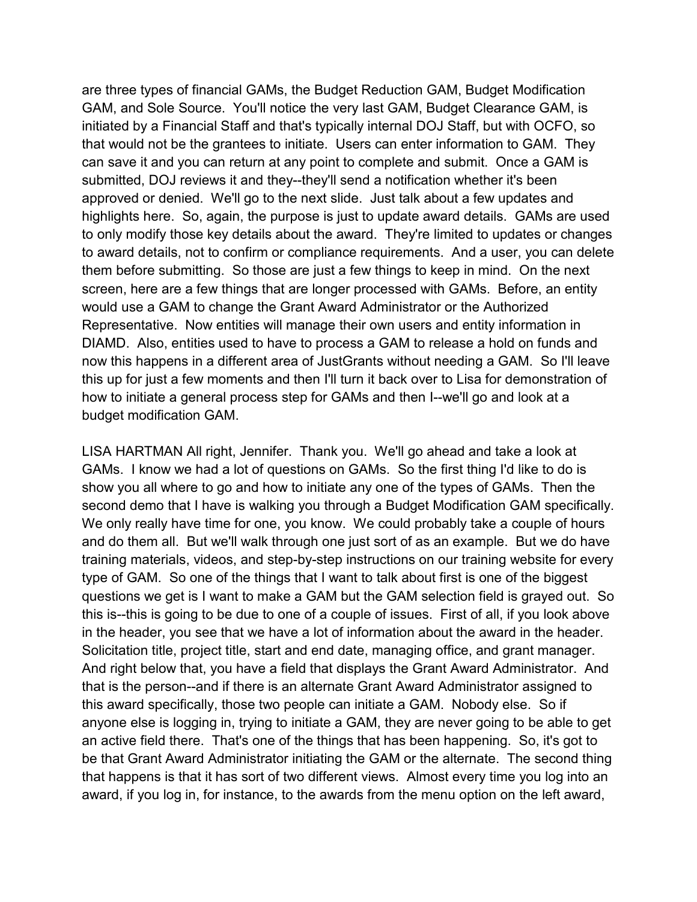are three types of financial GAMs, the Budget Reduction GAM, Budget Modification that would not be the grantees to initiate. Users can enter information to GAM. They approved or denied. We'll go to the next slide. Just talk about a few updates and to only modify those key details about the award. They're limited to updates or changes them before submitting. So those are just a few things to keep in mind. On the next DIAMD. Also, entities used to have to process a GAM to release a hold on funds and how to initiate a general process step for GAMs and then I--we'll go and look at a GAM, and Sole Source. You'll notice the very last GAM, Budget Clearance GAM, is initiated by a Financial Staff and that's typically internal DOJ Staff, but with OCFO, so can save it and you can return at any point to complete and submit. Once a GAM is submitted, DOJ reviews it and they--they'll send a notification whether it's been highlights here. So, again, the purpose is just to update award details. GAMs are used to award details, not to confirm or compliance requirements. And a user, you can delete screen, here are a few things that are longer processed with GAMs. Before, an entity would use a GAM to change the Grant Award Administrator or the Authorized Representative. Now entities will manage their own users and entity information in now this happens in a different area of JustGrants without needing a GAM. So I'll leave this up for just a few moments and then I'll turn it back over to Lisa for demonstration of budget modification GAM.

 LISA HARTMAN All right, Jennifer. Thank you. We'll go ahead and take a look at second demo that I have is walking you through a Budget Modification GAM specifically. and do them all. But we'll walk through one just sort of as an example. But we do have questions we get is I want to make a GAM but the GAM selection field is grayed out. So in the header, you see that we have a lot of information about the award in the header. Solicitation title, project title, start and end date, managing office, and grant manager. in the header, you see that we have a lot of information about the award in the header.<br>Solicitation title, project title, start and end date, managing office, and grant manager.<br>And right below that, you have a field that an active field there. That's one of the things that has been happening. So, it's got to be that Grant Award Administrator initiating the GAM or the alternate. The second thing GAMs. I know we had a lot of questions on GAMs. So the first thing I'd like to do is show you all where to go and how to initiate any one of the types of GAMs. Then the We only really have time for one, you know. We could probably take a couple of hours training materials, videos, and step-by-step instructions on our training website for every type of GAM. So one of the things that I want to talk about first is one of the biggest this is--this is going to be due to one of a couple of issues. First of all, if you look above that is the person--and if there is an alternate Grant Award Administrator assigned to this award specifically, those two people can initiate a GAM. Nobody else. So if anyone else is logging in, trying to initiate a GAM, they are never going to be able to get that happens is that it has sort of two different views. Almost every time you log into an award, if you log in, for instance, to the awards from the menu option on the left award,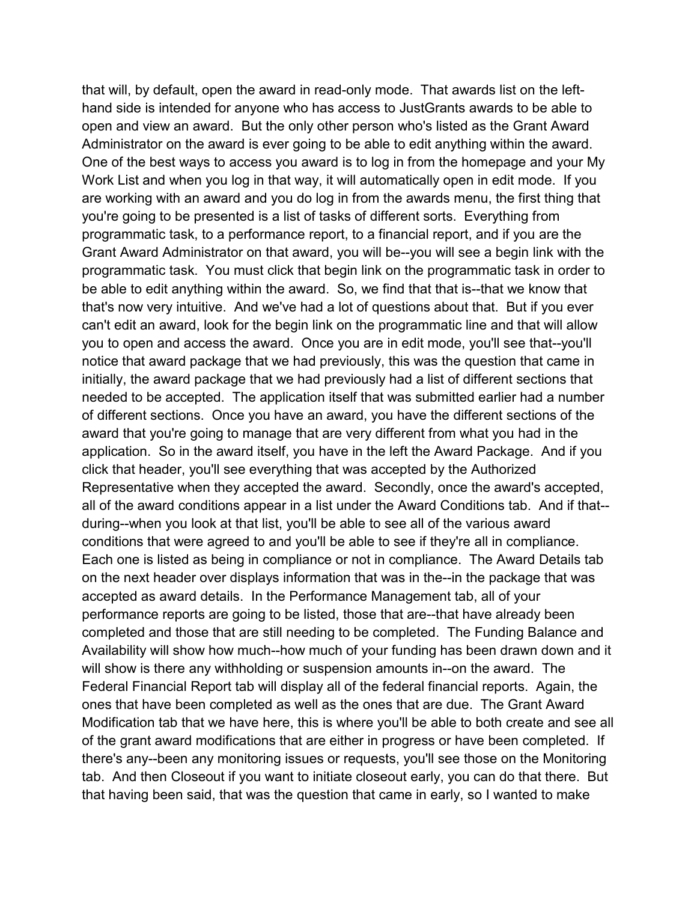that will, by default, open the award in read-only mode. That awards list on the left-Administrator on the award is ever going to be able to edit anything within the award. you're going to be presented is a list of tasks of different sorts. Everything from Grant Award Administrator on that award, you will be--you will see a begin link with the needed to be accepted. The application itself that was submitted earlier had a number of different sections. Once you have an award, you have the different sections of the award that you're going to manage that are very different from what you had in the application. So in the award itself, you have in the left the Award Package. And if you conditions that were agreed to and you'll be able to see if they're all in compliance. accepted as award details. In the Performance Management tab, all of your completed and those that are still needing to be completed. The Funding Balance and Federal Financial Report tab will display all of the federal financial reports. Again, the ones that have been completed as well as the ones that are due. The Grant Award tab. And then Closeout if you want to initiate closeout early, you can do that there. But hand side is intended for anyone who has access to JustGrants awards to be able to open and view an award. But the only other person who's listed as the Grant Award One of the best ways to access you award is to log in from the homepage and your My Work List and when you log in that way, it will automatically open in edit mode. If you are working with an award and you do log in from the awards menu, the first thing that programmatic task, to a performance report, to a financial report, and if you are the programmatic task. You must click that begin link on the programmatic task in order to be able to edit anything within the award. So, we find that that is--that we know that that's now very intuitive. And we've had a lot of questions about that. But if you ever can't edit an award, look for the begin link on the programmatic line and that will allow you to open and access the award. Once you are in edit mode, you'll see that--you'll notice that award package that we had previously, this was the question that came in initially, the award package that we had previously had a list of different sections that click that header, you'll see everything that was accepted by the Authorized Representative when they accepted the award. Secondly, once the award's accepted, all of the award conditions appear in a list under the Award Conditions tab. And if that- during--when you look at that list, you'll be able to see all of the various award Each one is listed as being in compliance or not in compliance. The Award Details tab on the next header over displays information that was in the--in the package that was performance reports are going to be listed, those that are--that have already been Availability will show how much--how much of your funding has been drawn down and it will show is there any withholding or suspension amounts in--on the award. The Modification tab that we have here, this is where you'll be able to both create and see all of the grant award modifications that are either in progress or have been completed. If there's any--been any monitoring issues or requests, you'll see those on the Monitoring that having been said, that was the question that came in early, so I wanted to make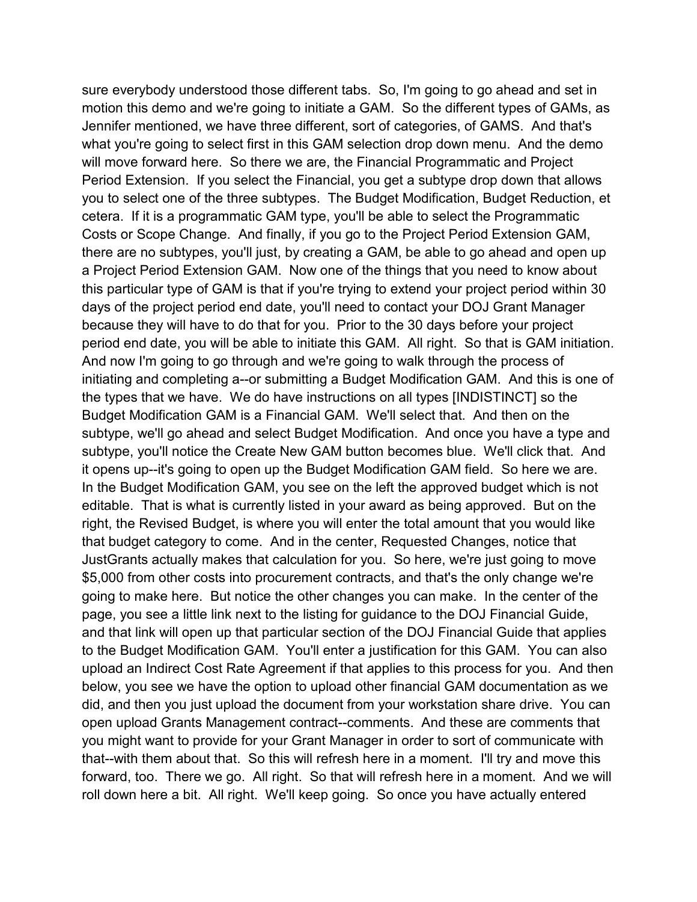what you're going to select first in this GAM selection drop down menu. And the demo will move forward here. So there we are, the Financial Programmatic and Project Period Extension. If you select the Financial, you get a subtype drop down that allows you to select one of the three subtypes. The Budget Modification, Budget Reduction, et cetera. If it is a programmatic GAM type, you'll be able to select the Programmatic there are no subtypes, you'll just, by creating a GAM, be able to go ahead and open up because they will have to do that for you. Prior to the 30 days before your project period end date, you will be able to initiate this GAM. All right. So that is GAM initiation. And now I'm going to go through and we're going to walk through the process of the types that we have. We do have instructions on all types [INDISTINCT] so the subtype, we'll go ahead and select Budget Modification. And once you have a type and subtype, you'll notice the Create New GAM button becomes blue. We'll click that. And it opens up--it's going to open up the Budget Modification GAM field. So here we are. editable. That is what is currently listed in your award as being approved. But on the that budget category to come. And in the center, Requested Changes, notice that JustGrants actually makes that calculation for you. So here, we're just going to move going to make here. But notice the other changes you can make. In the center of the open upload Grants Management contract--comments. And these are comments that you might want to provide for your Grant Manager in order to sort of communicate with that--with them about that. So this will refresh here in a moment. I'll try and move this forward, too. There we go. All right. So that will refresh here in a moment. And we will roll down here a bit. All right. We'll keep going. So once you have actually entered sure everybody understood those different tabs. So, I'm going to go ahead and set in motion this demo and we're going to initiate a GAM. So the different types of GAMs, as Jennifer mentioned, we have three different, sort of categories, of GAMS. And that's Costs or Scope Change. And finally, if you go to the Project Period Extension GAM, a Project Period Extension GAM. Now one of the things that you need to know about this particular type of GAM is that if you're trying to extend your project period within 30 days of the project period end date, you'll need to contact your DOJ Grant Manager initiating and completing a--or submitting a Budget Modification GAM. And this is one of Budget Modification GAM is a Financial GAM. We'll select that. And then on the In the Budget Modification GAM, you see on the left the approved budget which is not right, the Revised Budget, is where you will enter the total amount that you would like \$5,000 from other costs into procurement contracts, and that's the only change we're page, you see a little link next to the listing for guidance to the DOJ Financial Guide, and that link will open up that particular section of the DOJ Financial Guide that applies to the Budget Modification GAM. You'll enter a justification for this GAM. You can also upload an Indirect Cost Rate Agreement if that applies to this process for you. And then below, you see we have the option to upload other financial GAM documentation as we did, and then you just upload the document from your workstation share drive. You can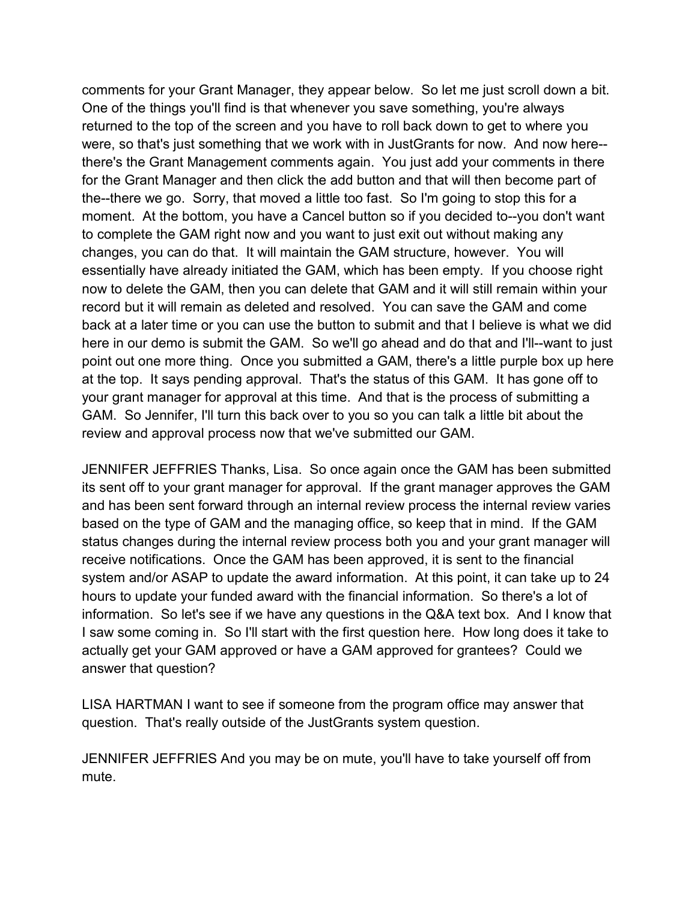comments for your Grant Manager, they appear below. So let me just scroll down a bit. returned to the top of the screen and you have to roll back down to get to where you the--there we go. Sorry, that moved a little too fast. So I'm going to stop this for a moment. At the bottom, you have a Cancel button so if you decided to--you don't want to complete the GAM right now and you want to just exit out without making any essentially have already initiated the GAM, which has been empty. If you choose right record but it will remain as deleted and resolved. You can save the GAM and come back at a later time or you can use the button to submit and that I believe is what we did here in our demo is submit the GAM. So we'll go ahead and do that and I'll--want to just point out one more thing. Once you submitted a GAM, there's a little purple box up here at the top. It says pending approval. That's the status of this GAM. It has gone off to your grant manager for approval at this time. And that is the process of submitting a GAM. So Jennifer, I'll turn this back over to you so you can talk a little bit about the One of the things you'll find is that whenever you save something, you're always were, so that's just something that we work with in JustGrants for now. And now here- there's the Grant Management comments again. You just add your comments in there for the Grant Manager and then click the add button and that will then become part of changes, you can do that. It will maintain the GAM structure, however. You will now to delete the GAM, then you can delete that GAM and it will still remain within your review and approval process now that we've submitted our GAM.

 JENNIFER JEFFRIES Thanks, Lisa. So once again once the GAM has been submitted its sent off to your grant manager for approval. If the grant manager approves the GAM and has been sent forward through an internal review process the internal review varies receive notifications. Once the GAM has been approved, it is sent to the financial based on the type of GAM and the managing office, so keep that in mind. If the GAM status changes during the internal review process both you and your grant manager will system and/or ASAP to update the award information. At this point, it can take up to 24 hours to update your funded award with the financial information. So there's a lot of information. So let's see if we have any questions in the Q&A text box. And I know that I saw some coming in. So I'll start with the first question here. How long does it take to actually get your GAM approved or have a GAM approved for grantees? Could we answer that question?

 question. That's really outside of the JustGrants system question. LISA HARTMAN I want to see if someone from the program office may answer that

 JENNIFER JEFFRIES And you may be on mute, you'll have to take yourself off from mute.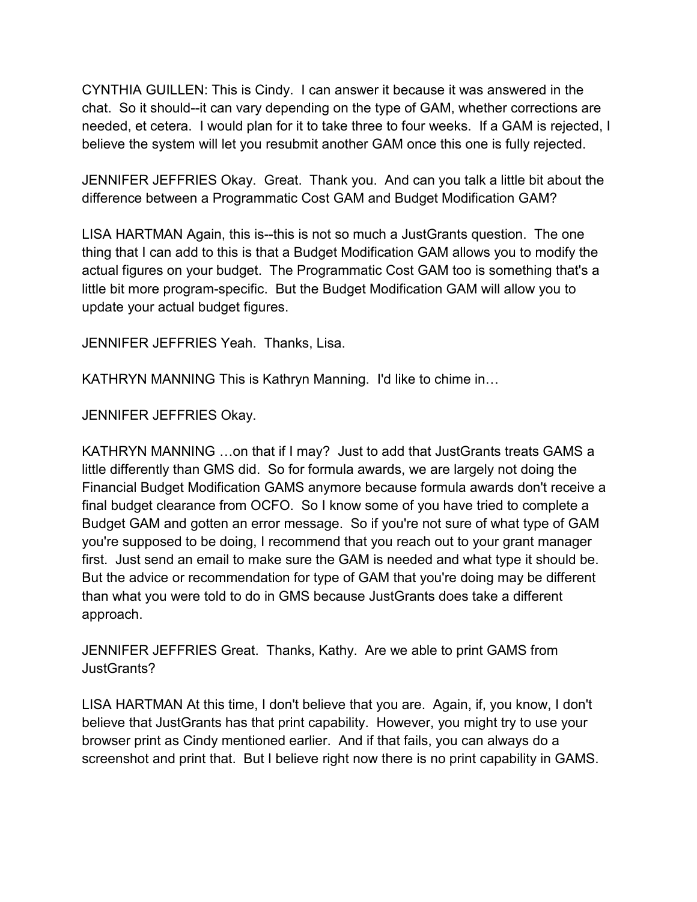CYNTHIA GUILLEN: This is Cindy. I can answer it because it was answered in the chat. So it should--it can vary depending on the type of GAM, whether corrections are needed, et cetera. I would plan for it to take three to four weeks. If a GAM is rejected, I believe the system will let you resubmit another GAM once this one is fully rejected.

 JENNIFER JEFFRIES Okay. Great. Thank you. And can you talk a little bit about the difference between a Programmatic Cost GAM and Budget Modification GAM?

 LISA HARTMAN Again, this is--this is not so much a JustGrants question. The one actual figures on your budget. The Programmatic Cost GAM too is something that's a thing that I can add to this is that a Budget Modification GAM allows you to modify the little bit more program-specific. But the Budget Modification GAM will allow you to update your actual budget figures.

JENNIFER JEFFRIES Yeah. Thanks, Lisa.

KATHRYN MANNING This is Kathryn Manning. I'd like to chime in…

JENNIFER JEFFRIES Okay.

 KATHRYN MANNING …on that if I may? Just to add that JustGrants treats GAMS a little differently than GMS did. So for formula awards, we are largely not doing the Budget GAM and gotten an error message. So if you're not sure of what type of GAM first. Just send an email to make sure the GAM is needed and what type it should be. Financial Budget Modification GAMS anymore because formula awards don't receive a final budget clearance from OCFO. So I know some of you have tried to complete a you're supposed to be doing, I recommend that you reach out to your grant manager But the advice or recommendation for type of GAM that you're doing may be different than what you were told to do in GMS because JustGrants does take a different approach.

 JENNIFER JEFFRIES Great. Thanks, Kathy. Are we able to print GAMS from JustGrants?

 LISA HARTMAN At this time, I don't believe that you are. Again, if, you know, I don't screenshot and print that. But I believe right now there is no print capability in GAMS. believe that JustGrants has that print capability. However, you might try to use your browser print as Cindy mentioned earlier. And if that fails, you can always do a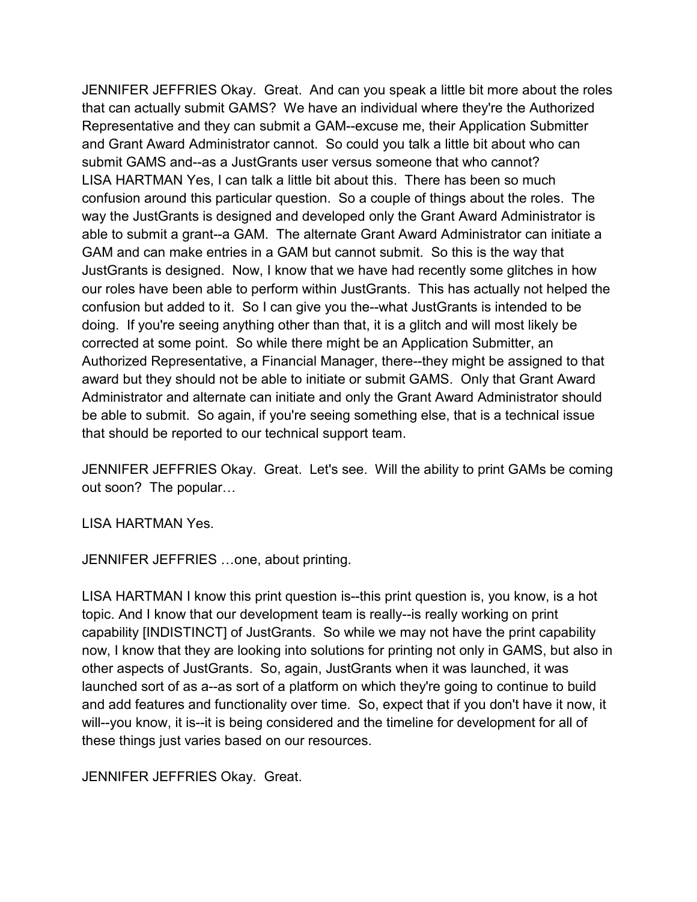that can actually submit GAMS? We have an individual where they're the Authorized and Grant Award Administrator cannot. So could you talk a little bit about who can LISA HARTMAN Yes, I can talk a little bit about this. There has been so much confusion around this particular question. So a couple of things about the roles. The able to submit a grant--a GAM. The alternate Grant Award Administrator can initiate a GAM and can make entries in a GAM but cannot submit. So this is the way that our roles have been able to perform within JustGrants. This has actually not helped the JENNIFER JEFFRIES Okay. Great. And can you speak a little bit more about the roles Representative and they can submit a GAM--excuse me, their Application Submitter submit GAMS and--as a JustGrants user versus someone that who cannot? way the JustGrants is designed and developed only the Grant Award Administrator is JustGrants is designed. Now, I know that we have had recently some glitches in how confusion but added to it. So I can give you the--what JustGrants is intended to be doing. If you're seeing anything other than that, it is a glitch and will most likely be corrected at some point. So while there might be an Application Submitter, an Authorized Representative, a Financial Manager, there--they might be assigned to that award but they should not be able to initiate or submit GAMS. Only that Grant Award Administrator and alternate can initiate and only the Grant Award Administrator should be able to submit. So again, if you're seeing something else, that is a technical issue that should be reported to our technical support team.

 JENNIFER JEFFRIES Okay. Great. Let's see. Will the ability to print GAMs be coming out soon? The popular…

LISA HARTMAN Yes.

JENNIFER JEFFRIES …one, about printing.

 capability [INDISTINCT] of JustGrants. So while we may not have the print capability other aspects of JustGrants. So, again, JustGrants when it was launched, it was and add features and functionality over time. So, expect that if you don't have it now, it will--you know, it is--it is being considered and the timeline for development for all of LISA HARTMAN I know this print question is--this print question is, you know, is a hot topic. And I know that our development team is really--is really working on print now, I know that they are looking into solutions for printing not only in GAMS, but also in launched sort of as a--as sort of a platform on which they're going to continue to build these things just varies based on our resources.

JENNIFER JEFFRIES Okay. Great.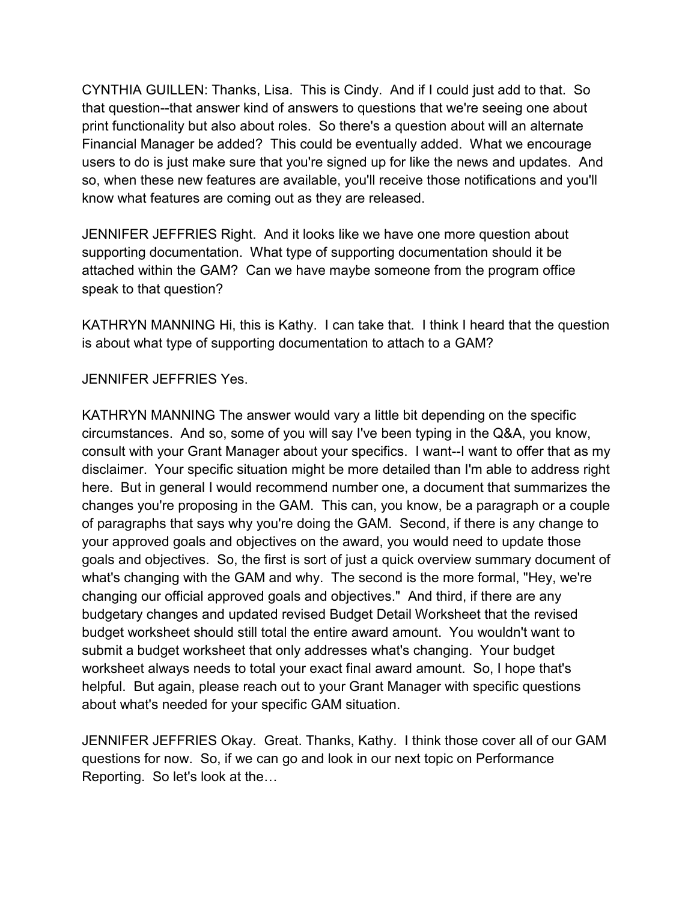CYNTHIA GUILLEN: Thanks, Lisa. This is Cindy. And if I could just add to that. So print functionality but also about roles. So there's a question about will an alternate Financial Manager be added? This could be eventually added. What we encourage users to do is just make sure that you're signed up for like the news and updates. And that question--that answer kind of answers to questions that we're seeing one about so, when these new features are available, you'll receive those notifications and you'll know what features are coming out as they are released.

 supporting documentation. What type of supporting documentation should it be JENNIFER JEFFRIES Right. And it looks like we have one more question about attached within the GAM? Can we have maybe someone from the program office speak to that question?

 KATHRYN MANNING Hi, this is Kathy. I can take that. I think I heard that the question is about what type of supporting documentation to attach to a GAM?

JENNIFER JEFFRIES Yes.

 here. But in general I would recommend number one, a document that summarizes the changes you're proposing in the GAM. This can, you know, be a paragraph or a couple changing our official approved goals and objectives." And third, if there are any KATHRYN MANNING The answer would vary a little bit depending on the specific circumstances. And so, some of you will say I've been typing in the Q&A, you know, consult with your Grant Manager about your specifics. I want--I want to offer that as my disclaimer. Your specific situation might be more detailed than I'm able to address right of paragraphs that says why you're doing the GAM. Second, if there is any change to your approved goals and objectives on the award, you would need to update those goals and objectives. So, the first is sort of just a quick overview summary document of what's changing with the GAM and why. The second is the more formal, "Hey, we're budgetary changes and updated revised Budget Detail Worksheet that the revised budget worksheet should still total the entire award amount. You wouldn't want to submit a budget worksheet that only addresses what's changing. Your budget worksheet always needs to total your exact final award amount. So, I hope that's helpful. But again, please reach out to your Grant Manager with specific questions about what's needed for your specific GAM situation.

 JENNIFER JEFFRIES Okay. Great. Thanks, Kathy. I think those cover all of our GAM questions for now. So, if we can go and look in our next topic on Performance Reporting. So let's look at the…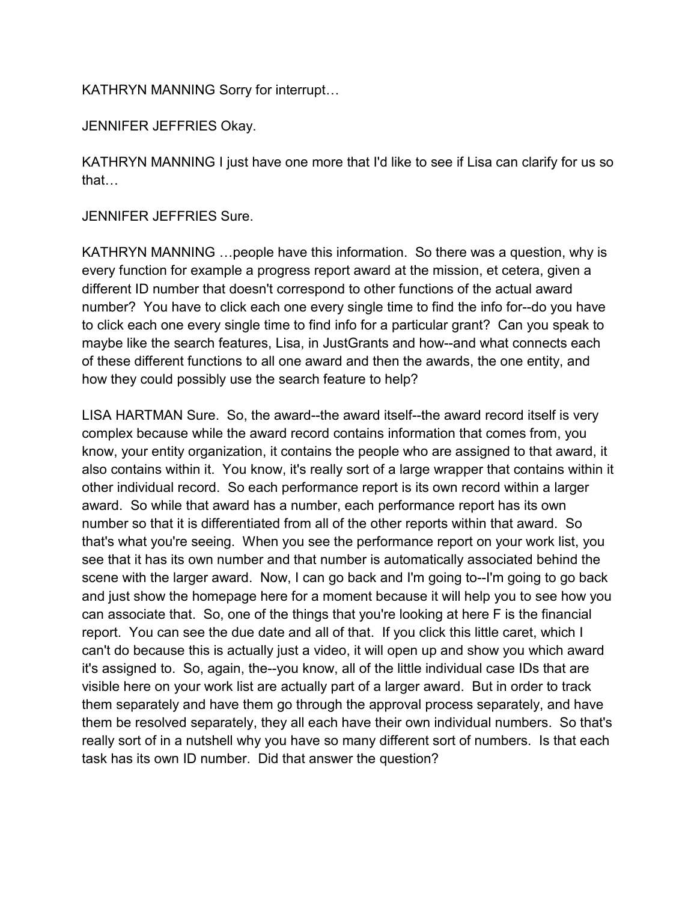KATHRYN MANNING Sorry for interrupt…

JENNIFER JEFFRIES Okay.

KATHRYN MANNING I just have one more that I'd like to see if Lisa can clarify for us so that…

JENNIFER JEFFRIES Sure.

 to click each one every single time to find info for a particular grant? Can you speak to KATHRYN MANNING …people have this information. So there was a question, why is every function for example a progress report award at the mission, et cetera, given a different ID number that doesn't correspond to other functions of the actual award number? You have to click each one every single time to find the info for--do you have maybe like the search features, Lisa, in JustGrants and how--and what connects each of these different functions to all one award and then the awards, the one entity, and how they could possibly use the search feature to help?

 award. So while that award has a number, each performance report has its own that's what you're seeing. When you see the performance report on your work list, you it's assigned to. So, again, the--you know, all of the little individual case IDs that are really sort of in a nutshell why you have so many different sort of numbers. Is that each LISA HARTMAN Sure. So, the award--the award itself--the award record itself is very complex because while the award record contains information that comes from, you know, your entity organization, it contains the people who are assigned to that award, it also contains within it. You know, it's really sort of a large wrapper that contains within it other individual record. So each performance report is its own record within a larger number so that it is differentiated from all of the other reports within that award. So see that it has its own number and that number is automatically associated behind the scene with the larger award. Now, I can go back and I'm going to--I'm going to go back and just show the homepage here for a moment because it will help you to see how you can associate that. So, one of the things that you're looking at here F is the financial report. You can see the due date and all of that. If you click this little caret, which I can't do because this is actually just a video, it will open up and show you which award visible here on your work list are actually part of a larger award. But in order to track them separately and have them go through the approval process separately, and have them be resolved separately, they all each have their own individual numbers. So that's task has its own ID number. Did that answer the question?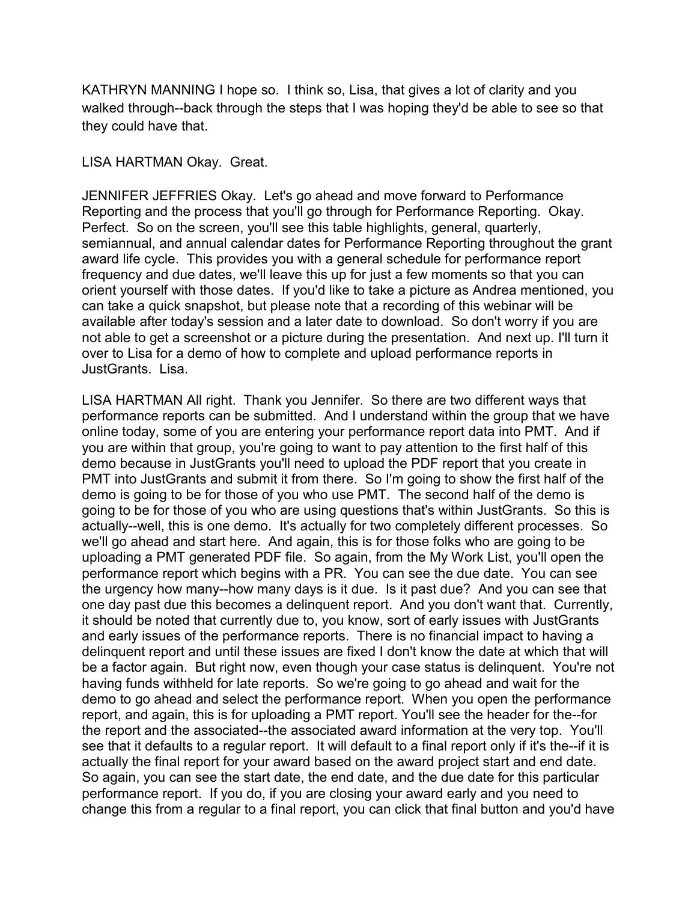KATHRYN MANNING I hope so. I think so, Lisa, that gives a lot of clarity and you walked through--back through the steps that I was hoping they'd be able to see so that they could have that.

## LISA HARTMAN Okay. Great.

Reporting and the process that you'll go through for Performance Reporting. Okay.<br>Perfect. So on the screen, you'll see this table highlights, general, quarterly, award life cycle. This provides you with a general schedule for performance report not able to get a screenshot or a picture during the presentation. And next up. I'll turn it JENNIFER JEFFRIES Okay. Let's go ahead and move forward to Performance semiannual, and annual calendar dates for Performance Reporting throughout the grant frequency and due dates, we'll leave this up for just a few moments so that you can orient yourself with those dates. If you'd like to take a picture as Andrea mentioned, you can take a quick snapshot, but please note that a recording of this webinar will be available after today's session and a later date to download. So don't worry if you are over to Lisa for a demo of how to complete and upload performance reports in JustGrants. Lisa.

 LISA HARTMAN All right. Thank you Jennifer. So there are two different ways that you are within that group, you're going to want to pay attention to the first half of this PMT into JustGrants and submit it from there. So I'm going to show the first half of the actually--well, this is one demo. It's actually for two completely different processes. So we'll go ahead and start here. And again, this is for those folks who are going to be uploading a PMT generated PDF file. So again, from the My Work List, you'll open the performance report which begins with a PR. You can see the due date. You can see the urgency how many--how many days is it due. Is it past due? And you can see that one day past due this becomes a delinquent report. And you don't want that. Currently, and early issues of the performance reports. There is no financial impact to having a be a factor again. But right now, even though your case status is delinquent. You're not demo to go ahead and select the performance report. When you open the performance actually the final report for your award based on the award project start and end date. actually the final report for your award based on the award project start and end date.<br>So again, you can see the start date, the end date, and the due date for this particular performance reports can be submitted. And I understand within the group that we have online today, some of you are entering your performance report data into PMT. And if demo because in JustGrants you'll need to upload the PDF report that you create in demo is going to be for those of you who use PMT. The second half of the demo is going to be for those of you who are using questions that's within JustGrants. So this is it should be noted that currently due to, you know, sort of early issues with JustGrants delinquent report and until these issues are fixed I don't know the date at which that will having funds withheld for late reports. So we're going to go ahead and wait for the report, and again, this is for uploading a PMT report. You'll see the header for the--for the report and the associated--the associated award information at the very top. You'll see that it defaults to a regular report. It will default to a final report only if it's the--if it is performance report. If you do, if you are closing your award early and you need to change this from a regular to a final report, you can click that final button and you'd have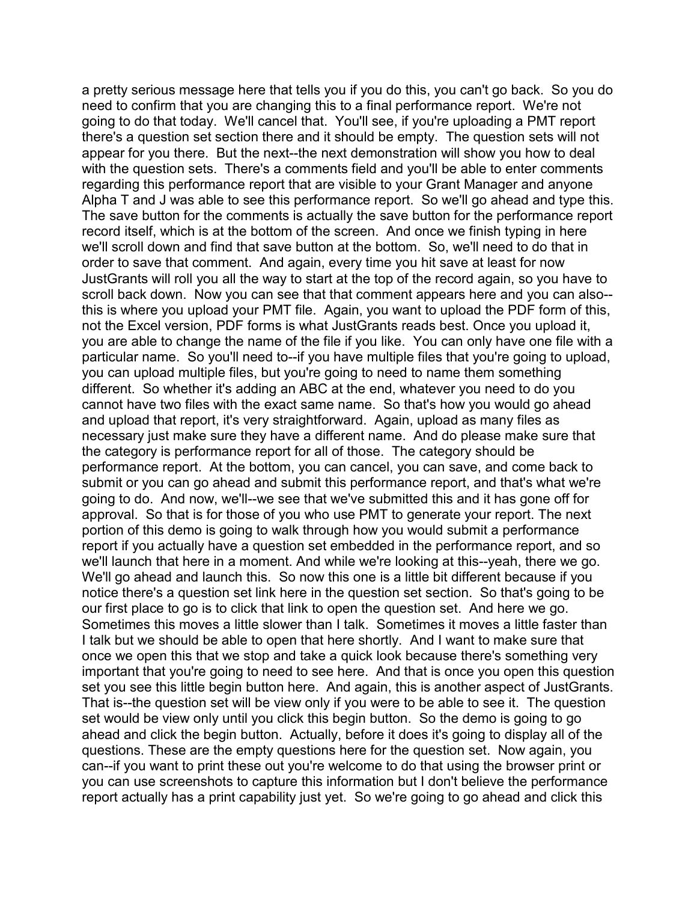need to confirm that you are changing this to a final performance report. We're not going to do that today. We'll cancel that. You'll see, if you're uploading a PMT report appear for you there. But the next--the next demonstration will show you how to deal Alpha T and J was able to see this performance report. So we'll go ahead and type this. record itself, which is at the bottom of the screen. And once we finish typing in here order to save that comment. And again, every time you hit save at least for now particular name. So you'll need to--if you have multiple files that you're going to upload, different. So whether it's adding an ABC at the end, whatever you need to do you and upload that report, it's very straightforward. Again, upload as many files as necessary just make sure they have a different name. And do please make sure that the category is performance report for all of those. The category should be going to do. And now, we'll--we see that we've submitted this and it has gone off for approval. So that is for those of you who use PMT to generate your report. The next we'll launch that here in a moment. And while we're looking at this--yeah, there we go. notice there's a question set link here in the question set section. So that's going to be our first place to go is to click that link to open the question set. And here we go. set you see this little begin button here. And again, this is another aspect of JustGrants. That is--the question set will be view only if you were to be able to see it. The question ahead and click the begin button. Actually, before it does it's going to display all of the report actually has a print capability just yet. So we're going to go ahead and click this a pretty serious message here that tells you if you do this, you can't go back. So you do there's a question set section there and it should be empty. The question sets will not with the question sets. There's a comments field and you'll be able to enter comments regarding this performance report that are visible to your Grant Manager and anyone The save button for the comments is actually the save button for the performance report. we'll scroll down and find that save button at the bottom. So, we'll need to do that in JustGrants will roll you all the way to start at the top of the record again, so you have to scroll back down. Now you can see that that comment appears here and you can also- this is where you upload your PMT file. Again, you want to upload the PDF form of this, not the Excel version, PDF forms is what JustGrants reads best. Once you upload it, you are able to change the name of the file if you like. You can only have one file with a you can upload multiple files, but you're going to need to name them something cannot have two files with the exact same name. So that's how you would go ahead performance report. At the bottom, you can cancel, you can save, and come back to submit or you can go ahead and submit this performance report, and that's what we're portion of this demo is going to walk through how you would submit a performance report if you actually have a question set embedded in the performance report, and so We'll go ahead and launch this. So now this one is a little bit different because if you Sometimes this moves a little slower than I talk. Sometimes it moves a little faster than I talk but we should be able to open that here shortly. And I want to make sure that once we open this that we stop and take a quick look because there's something very important that you're going to need to see here. And that is once you open this question set would be view only until you click this begin button. So the demo is going to go questions. These are the empty questions here for the question set. Now again, you can--if you want to print these out you're welcome to do that using the browser print or you can use screenshots to capture this information but I don't believe the performance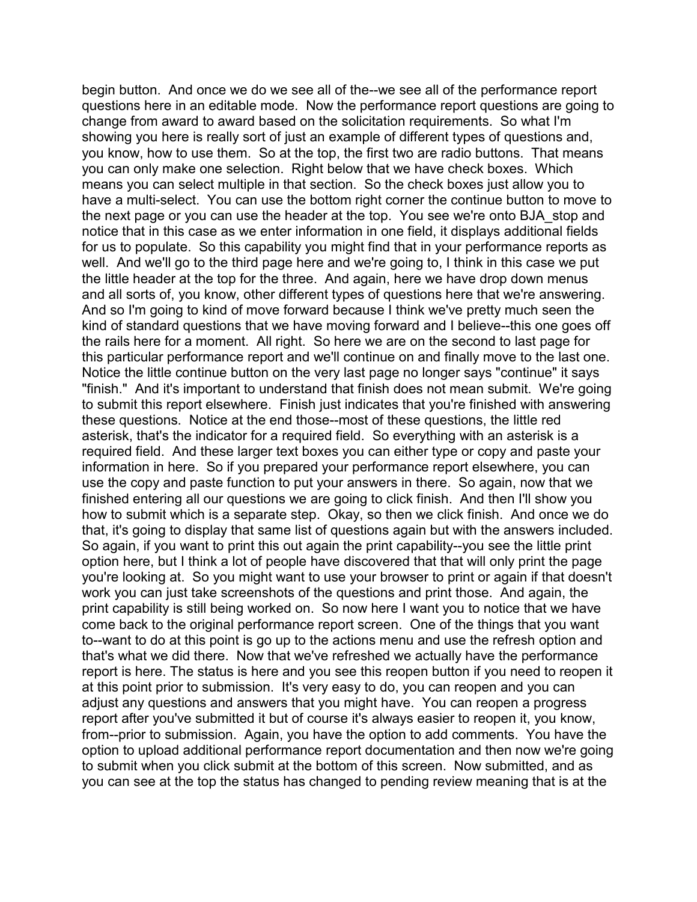you know, how to use them. So at the top, the first two are radio buttons. That means you can only make one selection. Right below that we have check boxes. Which notice that in this case as we enter information in one field, it displays additional fields and all sorts of, you know, other different types of questions here that we're answering. the rails here for a moment. All right. So here we are on the second to last page for this particular performance report and we'll continue on and finally move to the last one. "finish." And it's important to understand that finish does not mean submit. We're going asterisk, that's the indicator for a required field. So everything with an asterisk is a required field. And these larger text boxes you can either type or copy and paste your information in here. So if you prepared your performance report elsewhere, you can how to submit which is a separate step. Okay, so then we click finish. And once we do that, it's going to display that same list of questions again but with the answers included. option here, but I think a lot of people have discovered that that will only print the page you're looking at. So you might want to use your browser to print or again if that doesn't print capability is still being worked on. So now here I want you to notice that we have from--prior to submission. Again, you have the option to add comments. You have the begin button. And once we do we see all of the--we see all of the performance report questions here in an editable mode. Now the performance report questions are going to change from award to award based on the solicitation requirements. So what I'm showing you here is really sort of just an example of different types of questions and, means you can select multiple in that section. So the check boxes just allow you to have a multi-select. You can use the bottom right corner the continue button to move to the next page or you can use the header at the top. You see we're onto BJA\_stop and for us to populate. So this capability you might find that in your performance reports as well. And we'll go to the third page here and we're going to, I think in this case we put the little header at the top for the three. And again, here we have drop down menus And so I'm going to kind of move forward because I think we've pretty much seen the kind of standard questions that we have moving forward and I believe--this one goes off Notice the little continue button on the very last page no longer says "continue" it says to submit this report elsewhere. Finish just indicates that you're finished with answering these questions. Notice at the end those--most of these questions, the little red use the copy and paste function to put your answers in there. So again, now that we finished entering all our questions we are going to click finish. And then I'll show you So again, if you want to print this out again the print capability--you see the little print work you can just take screenshots of the questions and print those. And again, the come back to the original performance report screen. One of the things that you want to--want to do at this point is go up to the actions menu and use the refresh option and that's what we did there. Now that we've refreshed we actually have the performance report is here. The status is here and you see this reopen button if you need to reopen it at this point prior to submission. It's very easy to do, you can reopen and you can adjust any questions and answers that you might have. You can reopen a progress report after you've submitted it but of course it's always easier to reopen it, you know, option to upload additional performance report documentation and then now we're going to submit when you click submit at the bottom of this screen. Now submitted, and as you can see at the top the status has changed to pending review meaning that is at the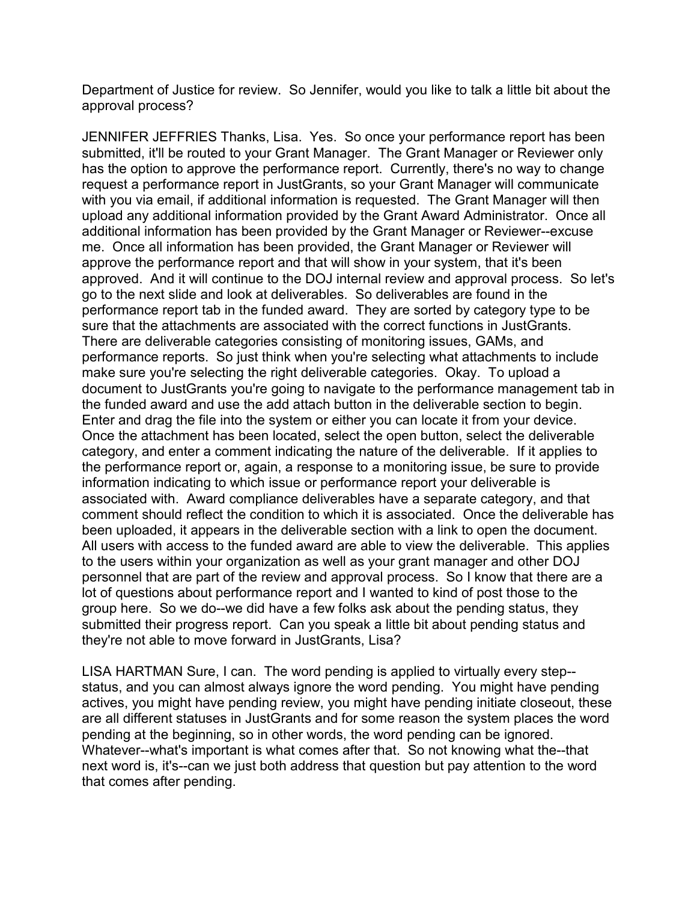Department of Justice for review. So Jennifer, would you like to talk a little bit about the approval process?

 JENNIFER JEFFRIES Thanks, Lisa. Yes. So once your performance report has been submitted, it'll be routed to your Grant Manager. The Grant Manager or Reviewer only with you via email, if additional information is requested. The Grant Manager will then upload any additional information provided by the Grant Award Administrator. Once all me. Once all information has been provided, the Grant Manager or Reviewer will go to the next slide and look at deliverables. So deliverables are found in the performance report tab in the funded award. They are sorted by category type to be sure that the attachments are associated with the correct functions in JustGrants. performance reports. So just think when you're selecting what attachments to include the funded award and use the add attach button in the deliverable section to begin. Enter and drag the file into the system or either you can locate it from your device. been uploaded, it appears in the deliverable section with a link to open the document. been uploaded, it appears in the deliverable section with a link to open the document.<br>All users with access to the funded award are able to view the deliverable. This applies personnel that are part of the review and approval process. So I know that there are a has the option to approve the performance report. Currently, there's no way to change request a performance report in JustGrants, so your Grant Manager will communicate additional information has been provided by the Grant Manager or Reviewer--excuse approve the performance report and that will show in your system, that it's been approved. And it will continue to the DOJ internal review and approval process. So let's There are deliverable categories consisting of monitoring issues, GAMs, and make sure you're selecting the right deliverable categories. Okay. To upload a document to JustGrants you're going to navigate to the performance management tab in Once the attachment has been located, select the open button, select the deliverable category, and enter a comment indicating the nature of the deliverable. If it applies to the performance report or, again, a response to a monitoring issue, be sure to provide information indicating to which issue or performance report your deliverable is associated with. Award compliance deliverables have a separate category, and that comment should reflect the condition to which it is associated. Once the deliverable has to the users within your organization as well as your grant manager and other DOJ lot of questions about performance report and I wanted to kind of post those to the group here. So we do--we did have a few folks ask about the pending status, they submitted their progress report. Can you speak a little bit about pending status and they're not able to move forward in JustGrants, Lisa?

 LISA HARTMAN Sure, I can. The word pending is applied to virtually every step-- are all different statuses in JustGrants and for some reason the system places the word pending at the beginning, so in other words, the word pending can be ignored. status, and you can almost always ignore the word pending. You might have pending actives, you might have pending review, you might have pending initiate closeout, these Whatever--what's important is what comes after that. So not knowing what the--that. next word is, it's--can we just both address that question but pay attention to the word that comes after pending.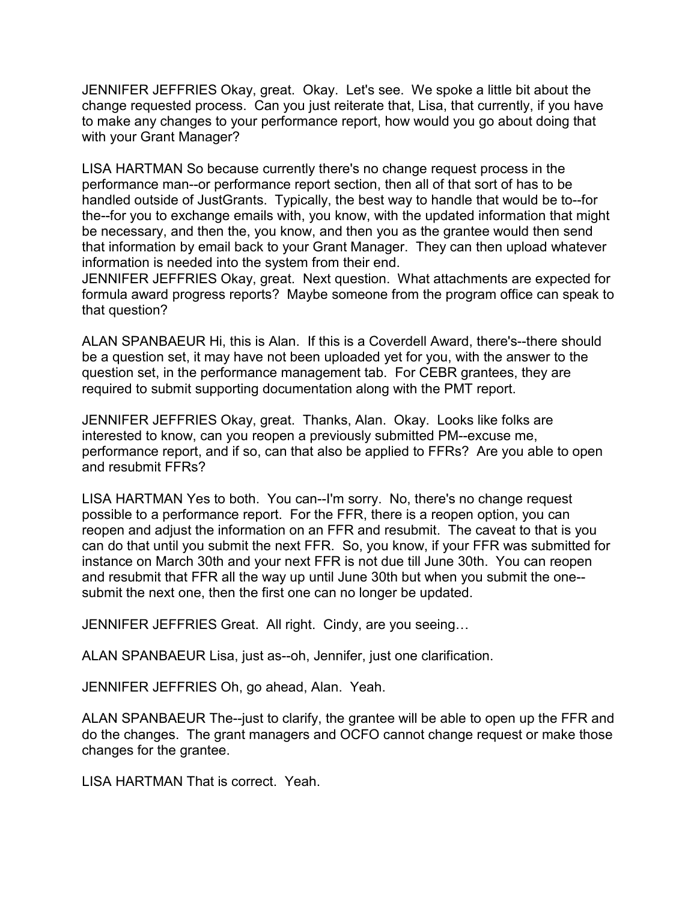JENNIFER JEFFRIES Okay, great. Okay. Let's see. We spoke a little bit about the change requested process. Can you just reiterate that, Lisa, that currently, if you have to make any changes to your performance report, how would you go about doing that with your Grant Manager?

 handled outside of JustGrants. Typically, the best way to handle that would be to--for that information by email back to your Grant Manager. They can then upload whatever LISA HARTMAN So because currently there's no change request process in the performance man--or performance report section, then all of that sort of has to be the--for you to exchange emails with, you know, with the updated information that might be necessary, and then the, you know, and then you as the grantee would then send information is needed into the system from their end.

 JENNIFER JEFFRIES Okay, great. Next question. What attachments are expected for formula award progress reports? Maybe someone from the program office can speak to that question?

ALAN SPANBAEUR Hi, this is Alan. If this is a Coverdell Award, there's--there should be a question set, it may have not been uploaded yet for you, with the answer to the question set, in the performance management tab. For CEBR grantees, they are required to submit supporting documentation along with the PMT report.

 JENNIFER JEFFRIES Okay, great. Thanks, Alan. Okay. Looks like folks are interested to know, can you reopen a previously submitted PM--excuse me, performance report, and if so, can that also be applied to FFRs? Are you able to open and resubmit FFRs?

 submit the next one, then the first one can no longer be updated. LISA HARTMAN Yes to both. You can--I'm sorry. No, there's no change request possible to a performance report. For the FFR, there is a reopen option, you can reopen and adjust the information on an FFR and resubmit. The caveat to that is you can do that until you submit the next FFR. So, you know, if your FFR was submitted for instance on March 30th and your next FFR is not due till June 30th. You can reopen and resubmit that FFR all the way up until June 30th but when you submit the one--

JENNIFER JEFFRIES Great. All right. Cindy, are you seeing…

ALAN SPANBAEUR Lisa, just as--oh, Jennifer, just one clarification.

JENNIFER JEFFRIES Oh, go ahead, Alan. Yeah.

 do the changes. The grant managers and OCFO cannot change request or make those ALAN SPANBAEUR The--just to clarify, the grantee will be able to open up the FFR and changes for the grantee.

LISA HARTMAN That is correct. Yeah.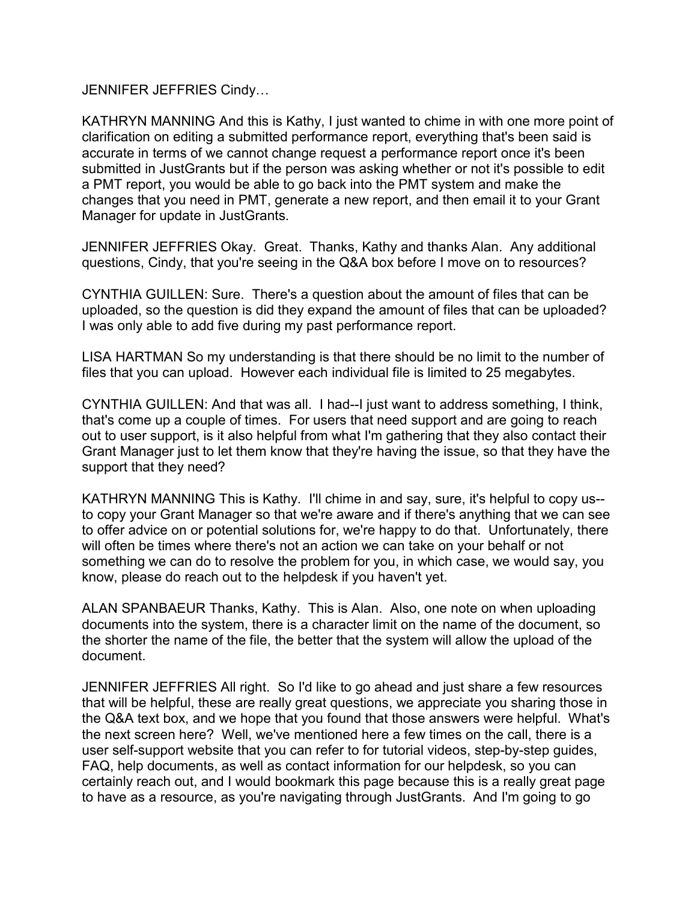JENNIFER JEFFRIES Cindy…

KATHRYN MANNING And this is Kathy, I just wanted to chime in with one more point of clarification on editing a submitted performance report, everything that's been said is accurate in terms of we cannot change request a performance report once it's been submitted in JustGrants but if the person was asking whether or not it's possible to edit a PMT report, you would be able to go back into the PMT system and make the changes that you need in PMT, generate a new report, and then email it to your Grant Manager for update in JustGrants.

 JENNIFER JEFFRIES Okay. Great. Thanks, Kathy and thanks Alan. Any additional questions, Cindy, that you're seeing in the Q&A box before I move on to resources?

 CYNTHIA GUILLEN: Sure. There's a question about the amount of files that can be uploaded, so the question is did they expand the amount of files that can be uploaded? I was only able to add five during my past performance report.

 LISA HARTMAN So my understanding is that there should be no limit to the number of files that you can upload. However each individual file is limited to 25 megabytes.

 CYNTHIA GUILLEN: And that was all. I had--I just want to address something, I think, that's come up a couple of times. For users that need support and are going to reach out to user support, is it also helpful from what I'm gathering that they also contact their Grant Manager just to let them know that they're having the issue, so that they have the support that they need?

 will often be times where there's not an action we can take on your behalf or not KATHRYN MANNING This is Kathy. I'll chime in and say, sure, it's helpful to copy us- to copy your Grant Manager so that we're aware and if there's anything that we can see to offer advice on or potential solutions for, we're happy to do that. Unfortunately, there something we can do to resolve the problem for you, in which case, we would say, you know, please do reach out to the helpdesk if you haven't yet.

 ALAN SPANBAEUR Thanks, Kathy. This is Alan. Also, one note on when uploading the shorter the name of the file, the better that the system will allow the upload of the documents into the system, there is a character limit on the name of the document, so document.

 the Q&A text box, and we hope that you found that those answers were helpful. What's JENNIFER JEFFRIES All right. So I'd like to go ahead and just share a few resources that will be helpful, these are really great questions, we appreciate you sharing those in the next screen here? Well, we've mentioned here a few times on the call, there is a user self-support website that you can refer to for tutorial videos, step-by-step guides, FAQ, help documents, as well as contact information for our helpdesk, so you can certainly reach out, and I would bookmark this page because this is a really great page to have as a resource, as you're navigating through JustGrants. And I'm going to go